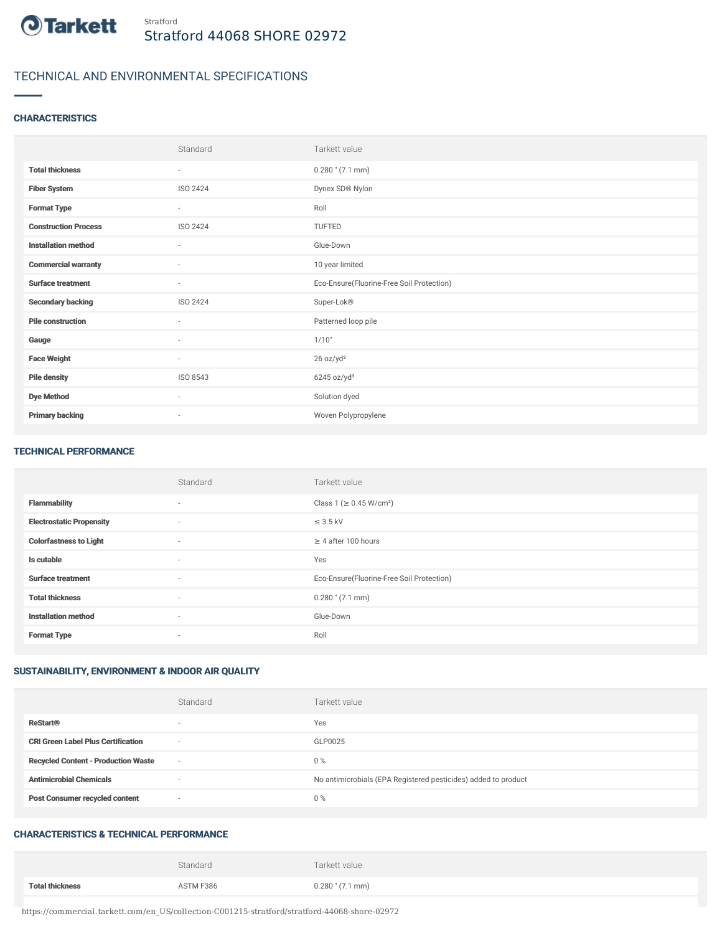

# TECHNICAL AND ENVIRONMENTAL SPECIFICATIONS

### **CHARACTERISTICS**

|                             | Standard                 | Tarkett value                             |
|-----------------------------|--------------------------|-------------------------------------------|
| <b>Total thickness</b>      | $\sim$                   | $0.280$ " $(7.1$ mm)                      |
| <b>Fiber System</b>         | ISO 2424                 | Dynex SD® Nylon                           |
| <b>Format Type</b>          | $\overline{\phantom{a}}$ | Roll                                      |
| <b>Construction Process</b> | ISO 2424                 | TUFTED                                    |
| <b>Installation method</b>  | $\sim$                   | Glue-Down                                 |
| <b>Commercial warranty</b>  | ٠                        | 10 year limited                           |
| <b>Surface treatment</b>    | ٠                        | Eco-Ensure(Fluorine-Free Soil Protection) |
| <b>Secondary backing</b>    | ISO 2424                 | Super-Lok®                                |
| <b>Pile construction</b>    | $\sim$                   | Patterned loop pile                       |
| Gauge                       | $\sim$                   | 1/10"                                     |
| <b>Face Weight</b>          | $\sim$                   | 26 oz/yd <sup>2</sup>                     |
| <b>Pile density</b>         | ISO 8543                 | 6245 oz/yd <sup>3</sup>                   |
| <b>Dye Method</b>           | $\sim$                   | Solution dyed                             |
| <b>Primary backing</b>      | $\overline{\phantom{a}}$ | Woven Polypropylene                       |

#### TECHNICAL PERFORMANCE

|                                 | Standard                 | Tarkett value                             |
|---------------------------------|--------------------------|-------------------------------------------|
| <b>Flammability</b>             | $\sim$                   | Class 1 ( $\geq$ 0.45 W/cm <sup>2</sup> ) |
| <b>Electrostatic Propensity</b> | $\sim$                   | $\leq$ 3.5 kV                             |
| <b>Colorfastness to Light</b>   | $\sim$                   | $\geq 4$ after 100 hours                  |
| Is cutable                      | $\sim$                   | Yes                                       |
| <b>Surface treatment</b>        | $\sim$                   | Eco-Ensure(Fluorine-Free Soil Protection) |
| <b>Total thickness</b>          | $\sim$                   | $0.280$ " (7.1 mm)                        |
| <b>Installation method</b>      | $\sim$                   | Glue-Down                                 |
| <b>Format Type</b>              | $\overline{\phantom{a}}$ | Roll                                      |

## SUSTAINABILITY, ENVIRONMENT & INDOOR AIR QUALITY

|                                            | Standard                 | Tarkett value                                                  |
|--------------------------------------------|--------------------------|----------------------------------------------------------------|
| <b>ReStart®</b>                            | $\overline{\phantom{a}}$ | Yes                                                            |
| <b>CRI Green Label Plus Certification</b>  | $\sim$                   | GLP0025                                                        |
| <b>Recycled Content - Production Waste</b> | $\sim$                   | 0%                                                             |
| <b>Antimicrobial Chemicals</b>             | ۰                        | No antimicrobials (EPA Registered pesticides) added to product |
| <b>Post Consumer recycled content</b>      | $\sim$                   | 0%                                                             |

## CHARACTERISTICS & TECHNICAL PERFORMANCE

|                        | Standard  | Tarkett value        |
|------------------------|-----------|----------------------|
| <b>Total thickness</b> | ASTM F386 | $0.280$ " $(7.1$ mm) |

https://commercial.tarkett.com/en\_US/collection-C001215-stratford/stratford-44068-shore-02972